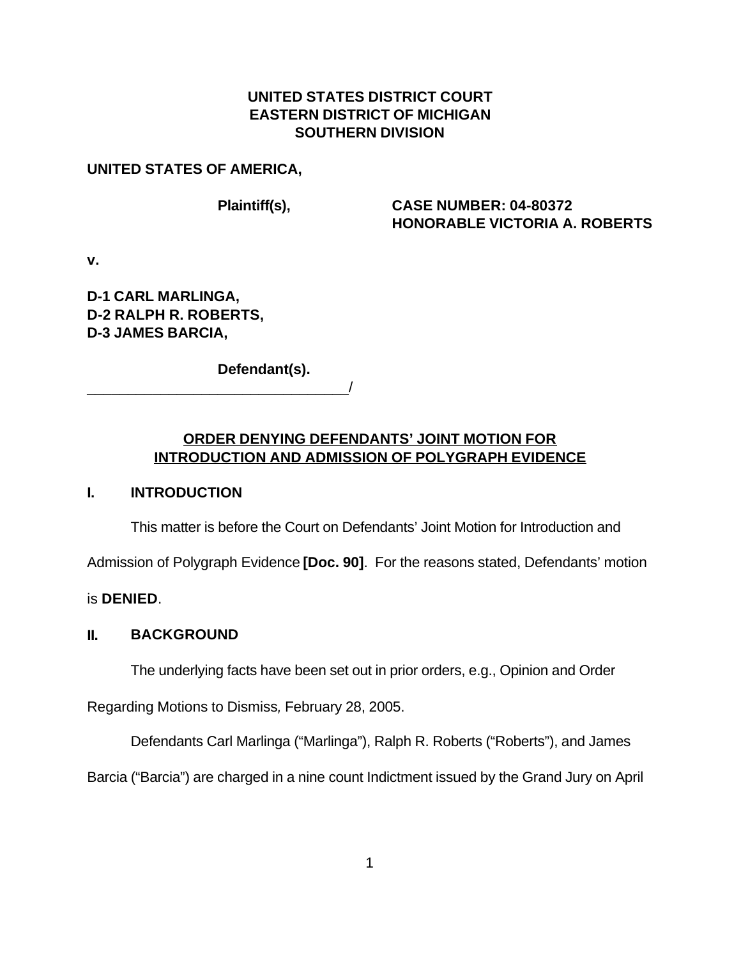# **UNITED STATES DISTRICT COURT EASTERN DISTRICT OF MICHIGAN SOUTHERN DIVISION**

#### **UNITED STATES OF AMERICA,**

#### **Plaintiff(s), CASE NUMBER: 04-80372 HONORABLE VICTORIA A. ROBERTS**

**v.**

**D-1 CARL MARLINGA, D-2 RALPH R. ROBERTS, D-3 JAMES BARCIA,**

**Defendant(s).**

\_\_\_\_\_\_\_\_\_\_\_\_\_\_\_\_\_\_\_\_\_\_\_\_\_\_\_\_\_\_\_\_/

# **ORDER DENYING DEFENDANTS' JOINT MOTION FOR INTRODUCTION AND ADMISSION OF POLYGRAPH EVIDENCE**

## **I. INTRODUCTION**

This matter is before the Court on Defendants' Joint Motion for Introduction and

Admission of Polygraph Evidence **[Doc. 90]**. For the reasons stated, Defendants' motion

is **DENIED**.

## **II. BACKGROUND**

The underlying facts have been set out in prior orders, e.g., Opinion and Order

Regarding Motions to Dismiss*,* February 28, 2005.

Defendants Carl Marlinga ("Marlinga"), Ralph R. Roberts ("Roberts"), and James

Barcia ("Barcia") are charged in a nine count Indictment issued by the Grand Jury on April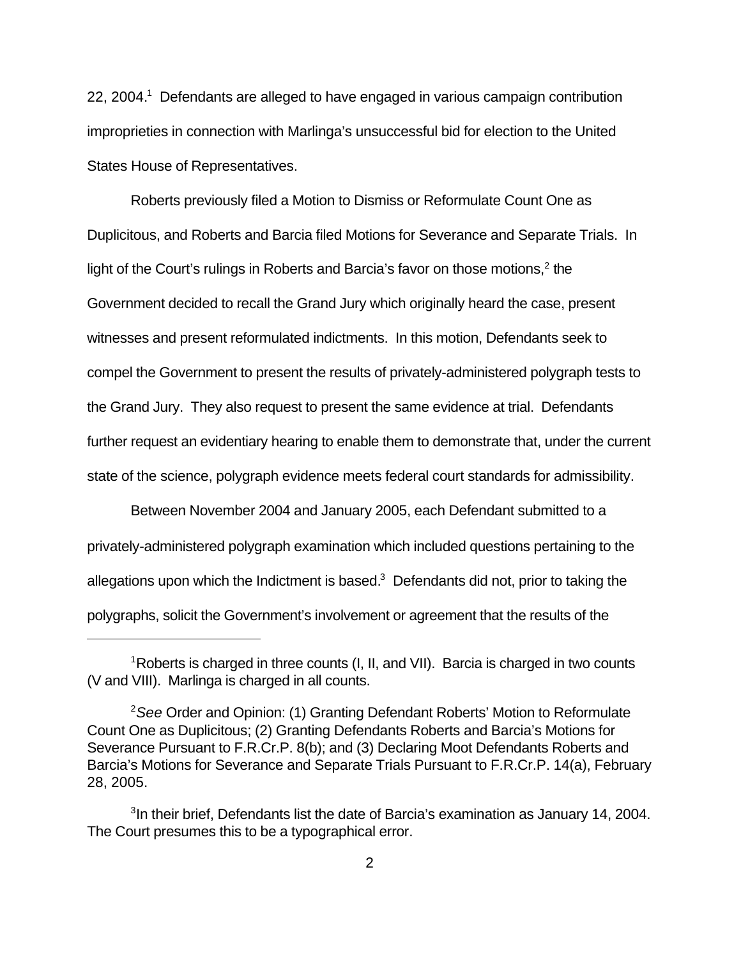22, 2004.<sup>1</sup> Defendants are alleged to have engaged in various campaign contribution improprieties in connection with Marlinga's unsuccessful bid for election to the United States House of Representatives.

Roberts previously filed a Motion to Dismiss or Reformulate Count One as Duplicitous, and Roberts and Barcia filed Motions for Severance and Separate Trials. In light of the Court's rulings in Roberts and Barcia's favor on those motions, $2$  the Government decided to recall the Grand Jury which originally heard the case, present witnesses and present reformulated indictments. In this motion, Defendants seek to compel the Government to present the results of privately-administered polygraph tests to the Grand Jury. They also request to present the same evidence at trial. Defendants further request an evidentiary hearing to enable them to demonstrate that, under the current state of the science, polygraph evidence meets federal court standards for admissibility.

Between November 2004 and January 2005, each Defendant submitted to a privately-administered polygraph examination which included questions pertaining to the allegations upon which the Indictment is based. $3$  Defendants did not, prior to taking the polygraphs, solicit the Government's involvement or agreement that the results of the

<sup>1</sup>Roberts is charged in three counts (I, II, and VII). Barcia is charged in two counts (V and VIII). Marlinga is charged in all counts.

<sup>2</sup>*See* Order and Opinion: (1) Granting Defendant Roberts' Motion to Reformulate Count One as Duplicitous; (2) Granting Defendants Roberts and Barcia's Motions for Severance Pursuant to F.R.Cr.P. 8(b); and (3) Declaring Moot Defendants Roberts and Barcia's Motions for Severance and Separate Trials Pursuant to F.R.Cr.P. 14(a), February 28, 2005.

<sup>&</sup>lt;sup>3</sup>In their brief, Defendants list the date of Barcia's examination as January 14, 2004. The Court presumes this to be a typographical error.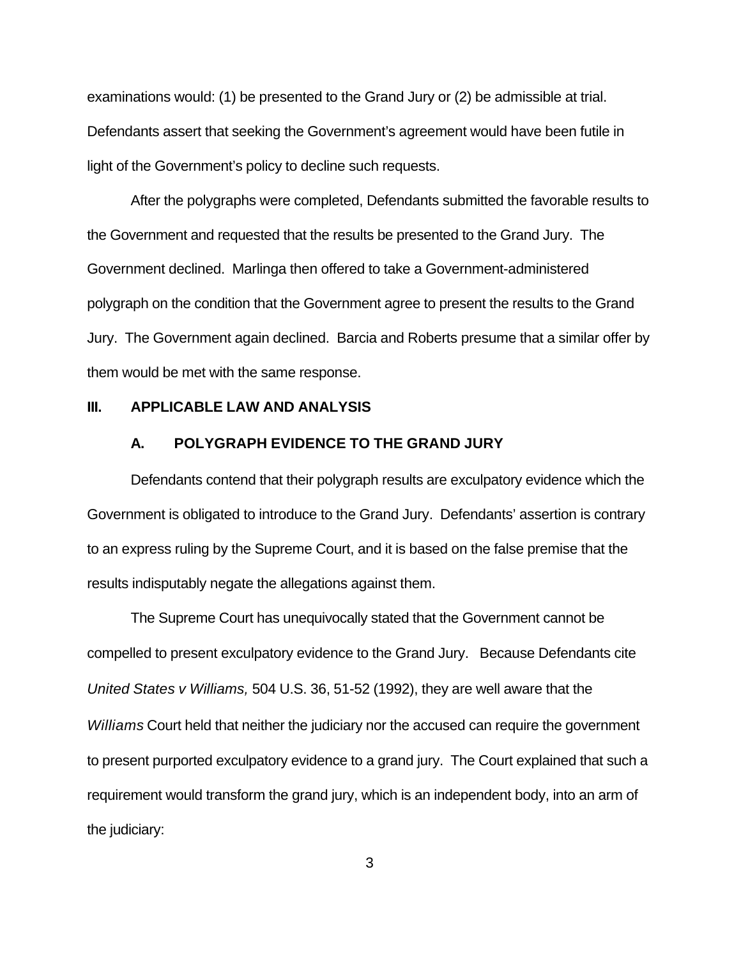examinations would: (1) be presented to the Grand Jury or (2) be admissible at trial. Defendants assert that seeking the Government's agreement would have been futile in light of the Government's policy to decline such requests.

After the polygraphs were completed, Defendants submitted the favorable results to the Government and requested that the results be presented to the Grand Jury. The Government declined. Marlinga then offered to take a Government-administered polygraph on the condition that the Government agree to present the results to the Grand Jury. The Government again declined. Barcia and Roberts presume that a similar offer by them would be met with the same response.

#### **III. APPLICABLE LAW AND ANALYSIS**

#### **A. POLYGRAPH EVIDENCE TO THE GRAND JURY**

Defendants contend that their polygraph results are exculpatory evidence which the Government is obligated to introduce to the Grand Jury. Defendants' assertion is contrary to an express ruling by the Supreme Court, and it is based on the false premise that the results indisputably negate the allegations against them.

The Supreme Court has unequivocally stated that the Government cannot be compelled to present exculpatory evidence to the Grand Jury. Because Defendants cite *United States v Williams,* 504 U.S. 36, 51-52 (1992), they are well aware that the *Williams* Court held that neither the judiciary nor the accused can require the government to present purported exculpatory evidence to a grand jury. The Court explained that such a requirement would transform the grand jury, which is an independent body, into an arm of the judiciary: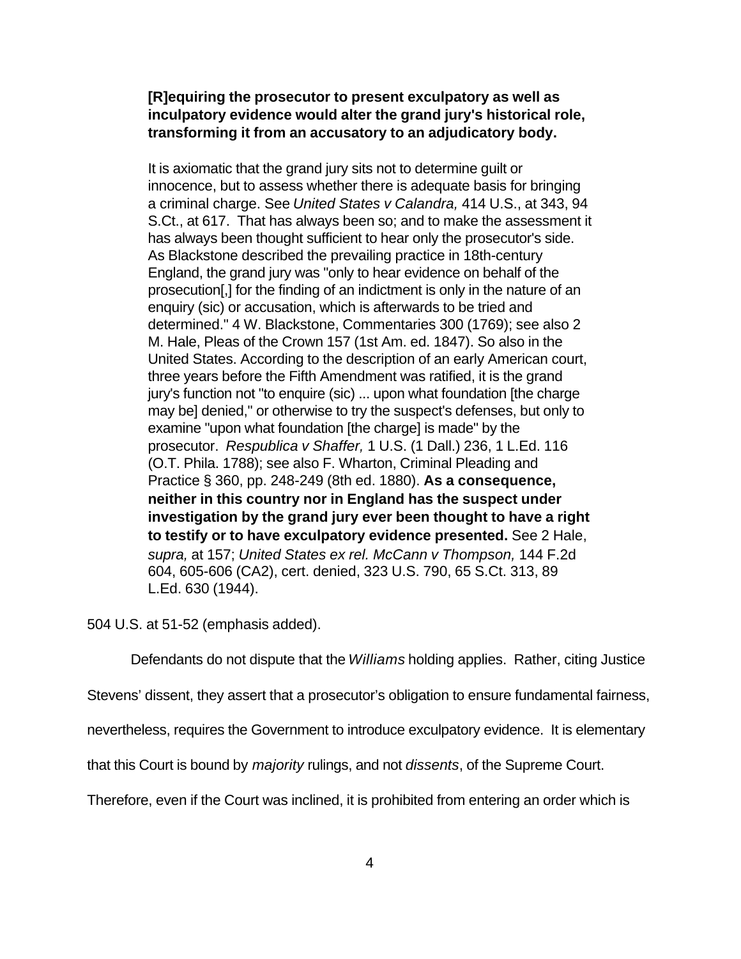## **[R]equiring the prosecutor to present exculpatory as well as inculpatory evidence would alter the grand jury's historical role, transforming it from an accusatory to an adjudicatory body.**

It is axiomatic that the grand jury sits not to determine guilt or innocence, but to assess whether there is adequate basis for bringing a criminal charge. See *United States v Calandra,* 414 U.S., at 343, 94 S.Ct., at 617. That has always been so; and to make the assessment it has always been thought sufficient to hear only the prosecutor's side. As Blackstone described the prevailing practice in 18th-century England, the grand jury was "only to hear evidence on behalf of the prosecution[,] for the finding of an indictment is only in the nature of an enquiry (sic) or accusation, which is afterwards to be tried and determined." 4 W. Blackstone, Commentaries 300 (1769); see also 2 M. Hale, Pleas of the Crown 157 (1st Am. ed. 1847). So also in the United States. According to the description of an early American court, three years before the Fifth Amendment was ratified, it is the grand jury's function not "to enquire (sic) ... upon what foundation [the charge may be] denied," or otherwise to try the suspect's defenses, but only to examine "upon what foundation [the charge] is made" by the prosecutor. *Respublica v Shaffer,* 1 U.S. (1 Dall.) 236, 1 L.Ed. 116 (O.T. Phila. 1788); see also F. Wharton, Criminal Pleading and Practice § 360, pp. 248-249 (8th ed. 1880). **As a consequence, neither in this country nor in England has the suspect under investigation by the grand jury ever been thought to have a right to testify or to have exculpatory evidence presented.** See 2 Hale, *supra,* at 157; *United States ex rel. McCann v Thompson,* 144 F.2d 604, 605-606 (CA2), cert. denied, 323 U.S. 790, 65 S.Ct. 313, 89 L.Ed. 630 (1944).

504 U.S. at 51-52 (emphasis added).

Defendants do not dispute that the *Williams* holding applies. Rather, citing Justice

Stevens' dissent, they assert that a prosecutor's obligation to ensure fundamental fairness,

nevertheless, requires the Government to introduce exculpatory evidence. It is elementary

that this Court is bound by *majority* rulings, and not *dissents*, of the Supreme Court.

Therefore, even if the Court was inclined, it is prohibited from entering an order which is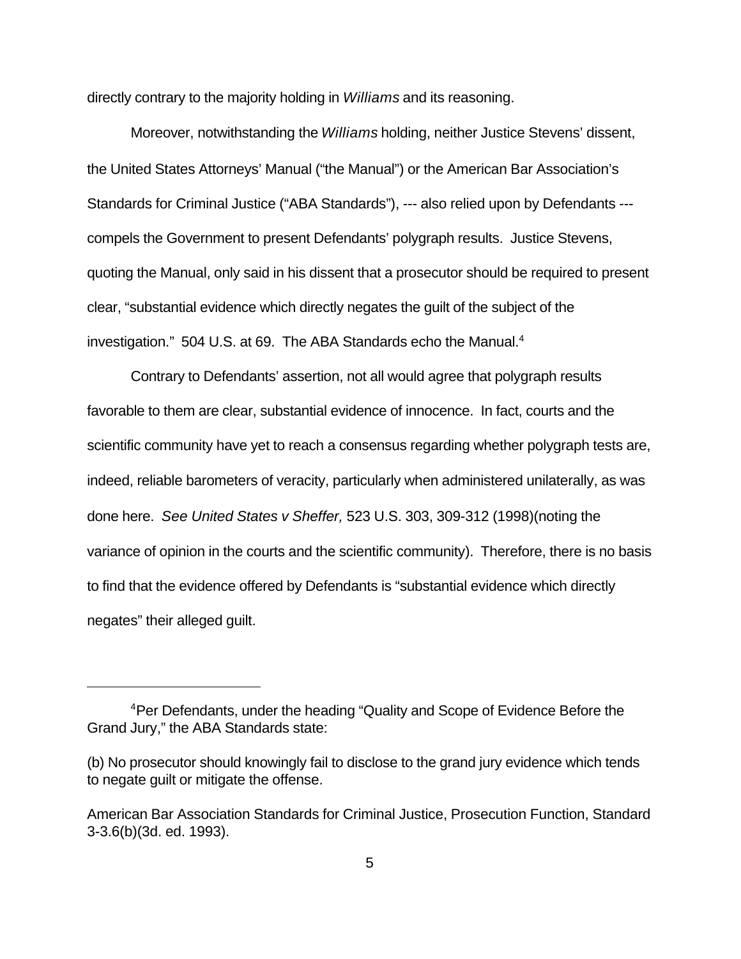directly contrary to the majority holding in *Williams* and its reasoning.

Moreover, notwithstanding the *Williams* holding, neither Justice Stevens' dissent, the United States Attorneys' Manual ("the Manual") or the American Bar Association's Standards for Criminal Justice ("ABA Standards"), --- also relied upon by Defendants -- compels the Government to present Defendants' polygraph results. Justice Stevens, quoting the Manual, only said in his dissent that a prosecutor should be required to present clear, "substantial evidence which directly negates the guilt of the subject of the investigation." 504 U.S. at 69. The ABA Standards echo the Manual.<sup>4</sup>

Contrary to Defendants' assertion, not all would agree that polygraph results favorable to them are clear, substantial evidence of innocence. In fact, courts and the scientific community have yet to reach a consensus regarding whether polygraph tests are, indeed, reliable barometers of veracity, particularly when administered unilaterally, as was done here. *See United States v Sheffer,* 523 U.S. 303, 309-312 (1998)(noting the variance of opinion in the courts and the scientific community). Therefore, there is no basis to find that the evidence offered by Defendants is "substantial evidence which directly negates" their alleged guilt.

<sup>4</sup>Per Defendants, under the heading "Quality and Scope of Evidence Before the Grand Jury," the ABA Standards state:

<sup>(</sup>b) No prosecutor should knowingly fail to disclose to the grand jury evidence which tends to negate guilt or mitigate the offense.

American Bar Association Standards for Criminal Justice, Prosecution Function, Standard 3-3.6(b)(3d. ed. 1993).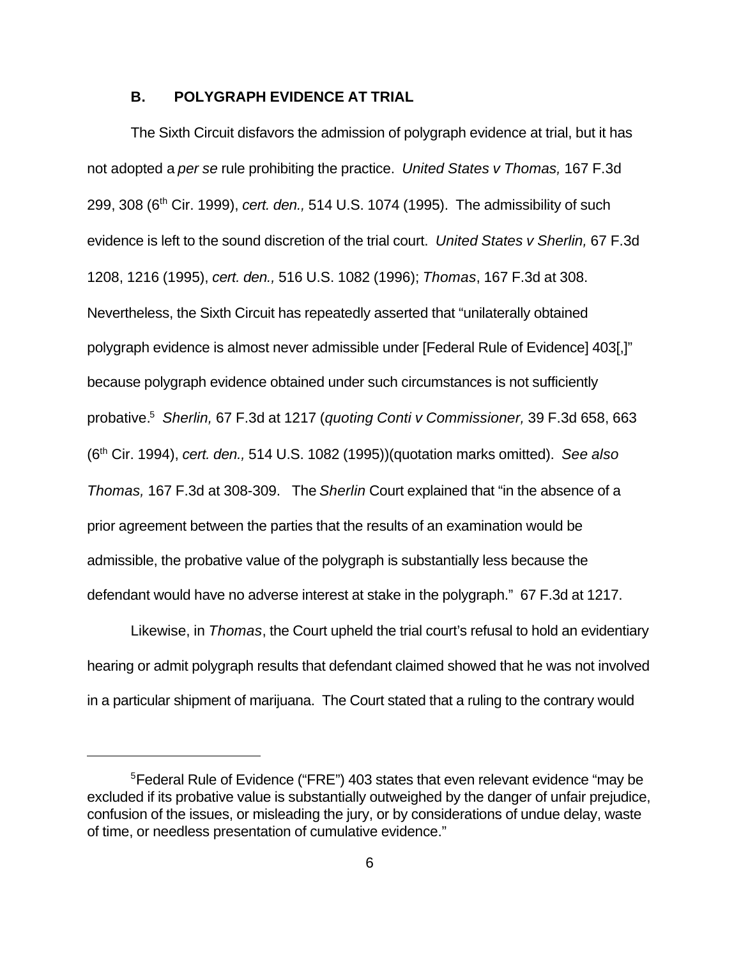#### **B. POLYGRAPH EVIDENCE AT TRIAL**

The Sixth Circuit disfavors the admission of polygraph evidence at trial, but it has not adopted a *per se* rule prohibiting the practice. *United States v Thomas,* 167 F.3d 299, 308 (6th Cir. 1999), *cert. den.,* 514 U.S. 1074 (1995). The admissibility of such evidence is left to the sound discretion of the trial court. *United States v Sherlin,* 67 F.3d 1208, 1216 (1995), *cert. den.,* 516 U.S. 1082 (1996); *Thomas*, 167 F.3d at 308. Nevertheless, the Sixth Circuit has repeatedly asserted that "unilaterally obtained polygraph evidence is almost never admissible under [Federal Rule of Evidence] 403[,]" because polygraph evidence obtained under such circumstances is not sufficiently probative.<sup>5</sup> *Sherlin,* 67 F.3d at 1217 (*quoting Conti v Commissioner,* 39 F.3d 658, 663 (6th Cir. 1994), *cert. den.,* 514 U.S. 1082 (1995))(quotation marks omitted). *See also Thomas,* 167 F.3d at 308-309. The *Sherlin* Court explained that "in the absence of a prior agreement between the parties that the results of an examination would be admissible, the probative value of the polygraph is substantially less because the defendant would have no adverse interest at stake in the polygraph." 67 F.3d at 1217.

Likewise, in *Thomas*, the Court upheld the trial court's refusal to hold an evidentiary hearing or admit polygraph results that defendant claimed showed that he was not involved in a particular shipment of marijuana. The Court stated that a ruling to the contrary would

<sup>5</sup>Federal Rule of Evidence ("FRE") 403 states that even relevant evidence "may be excluded if its probative value is substantially outweighed by the danger of unfair prejudice, confusion of the issues, or misleading the jury, or by considerations of undue delay, waste of time, or needless presentation of cumulative evidence."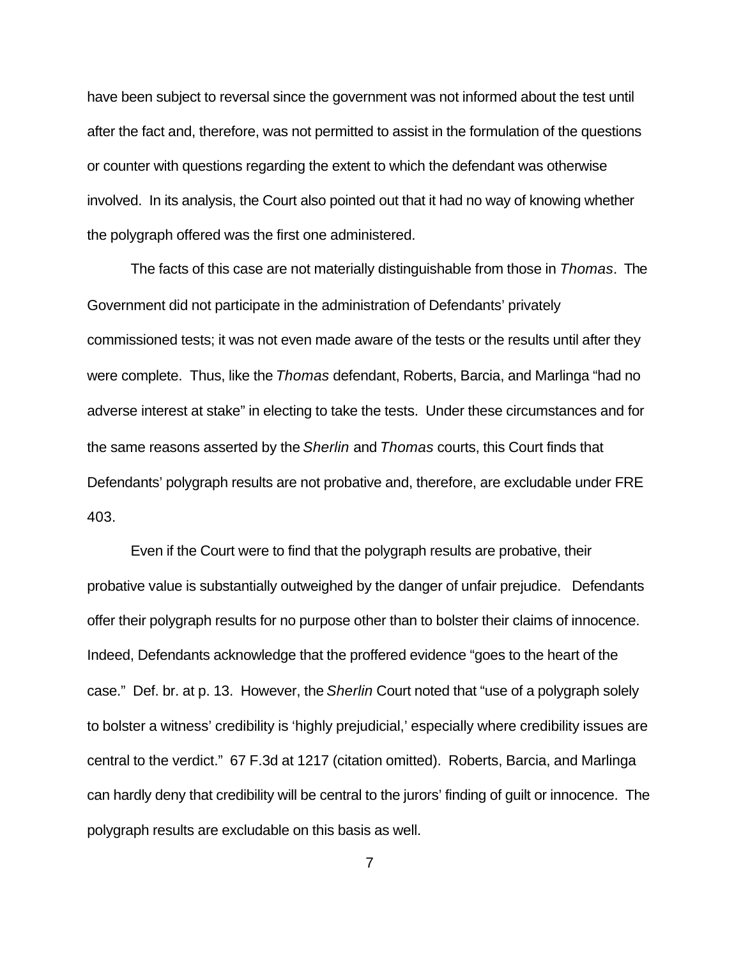have been subject to reversal since the government was not informed about the test until after the fact and, therefore, was not permitted to assist in the formulation of the questions or counter with questions regarding the extent to which the defendant was otherwise involved. In its analysis, the Court also pointed out that it had no way of knowing whether the polygraph offered was the first one administered.

The facts of this case are not materially distinguishable from those in *Thomas*. The Government did not participate in the administration of Defendants' privately commissioned tests; it was not even made aware of the tests or the results until after they were complete. Thus, like the *Thomas* defendant, Roberts, Barcia, and Marlinga "had no adverse interest at stake" in electing to take the tests. Under these circumstances and for the same reasons asserted by the *Sherlin* and *Thomas* courts, this Court finds that Defendants' polygraph results are not probative and, therefore, are excludable under FRE 403.

Even if the Court were to find that the polygraph results are probative, their probative value is substantially outweighed by the danger of unfair prejudice. Defendants offer their polygraph results for no purpose other than to bolster their claims of innocence. Indeed, Defendants acknowledge that the proffered evidence "goes to the heart of the case." Def. br. at p. 13. However, the *Sherlin* Court noted that "use of a polygraph solely to bolster a witness' credibility is 'highly prejudicial,' especially where credibility issues are central to the verdict." 67 F.3d at 1217 (citation omitted). Roberts, Barcia, and Marlinga can hardly deny that credibility will be central to the jurors' finding of guilt or innocence. The polygraph results are excludable on this basis as well.

7